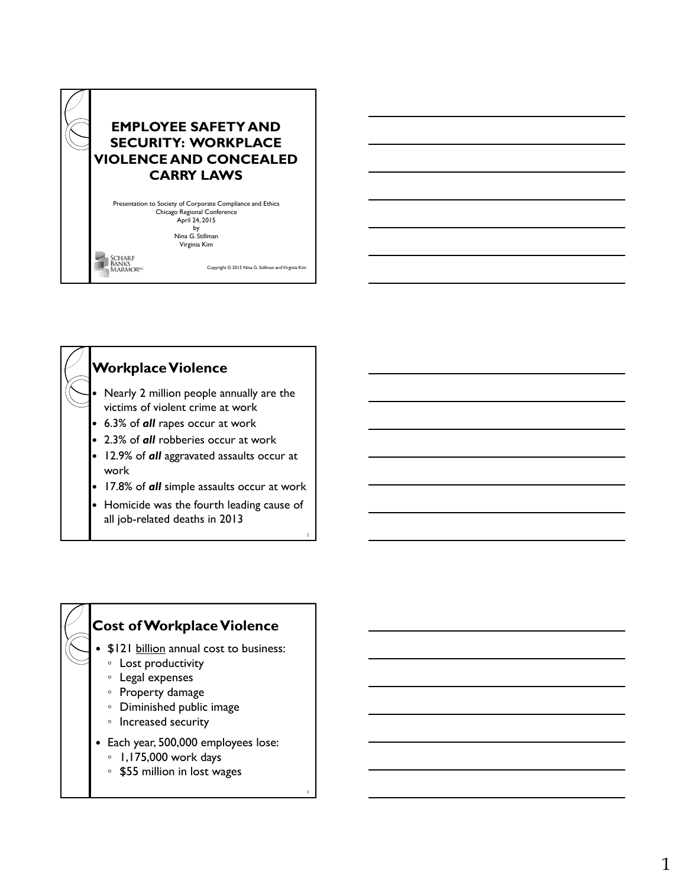



 Homicide was the fourth leading cause of all job-related deaths in 2013

### **Cost of Workplace Violence**

- \$121 billion annual cost to business:
	- Lost productivity
	- Legal expenses
	- Property damage
	- Diminished public image
	- Increased security
- Each year, 500,000 employees lose:

3

- 1,175,000 work days
- \$55 million in lost wages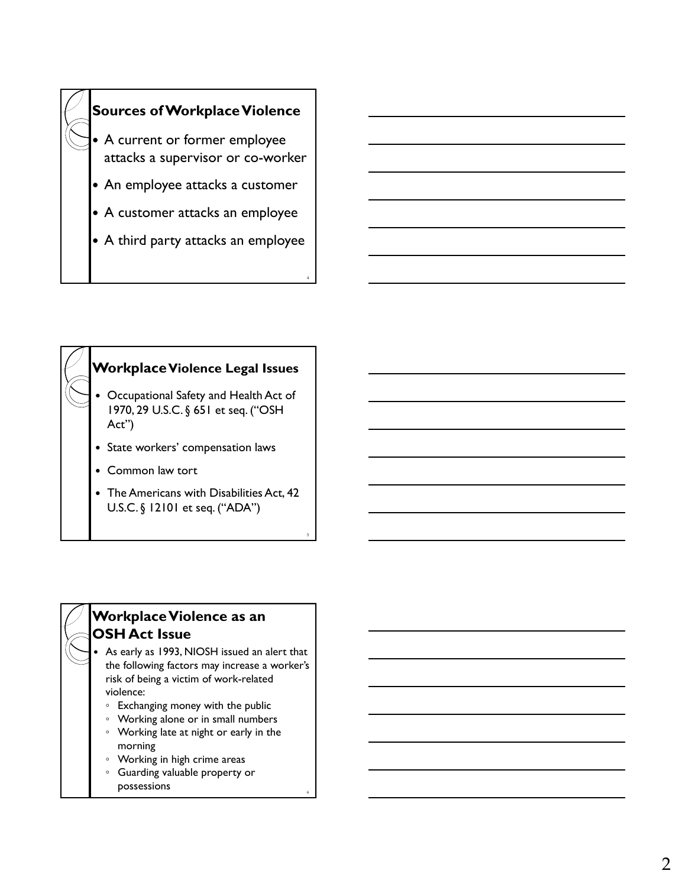



### **Workplace Violence as an OSH Act Issue**

 As early as 1993, NIOSH issued an alert that the following factors may increase a worker's risk of being a victim of work-related violence:

- Exchanging money with the public
- Working alone or in small numbers
- Working late at night or early in the morning

6

- Working in high crime areas
- Guarding valuable property or possessions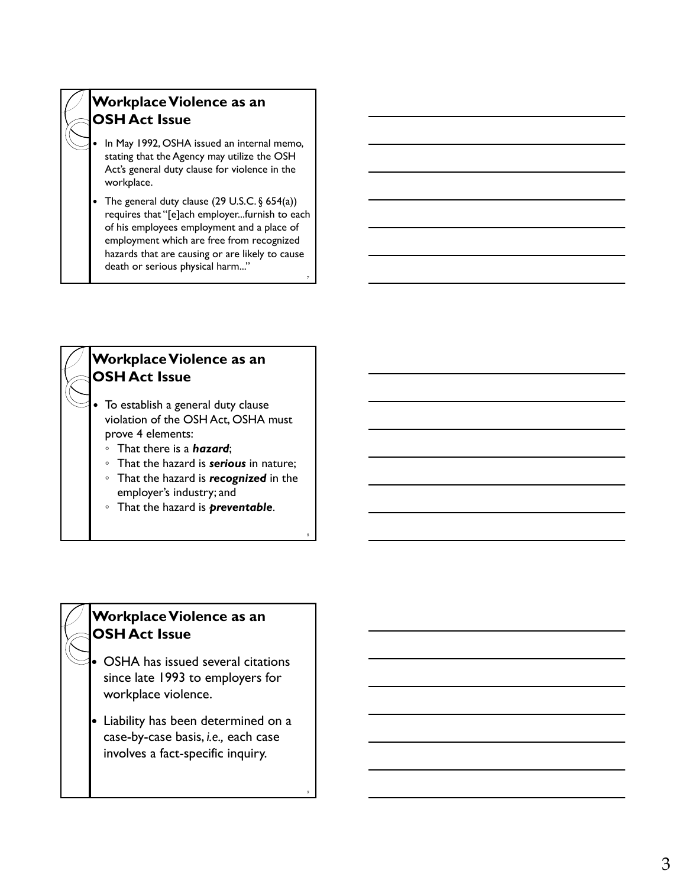## **Workplace Violence as an OSH Act Issue**

- In May 1992, OSHA issued an internal memo, stating that the Agency may utilize the OSH Act's general duty clause for violence in the workplace.
- The general duty clause  $(29 \text{ U.S.C.} \S 654(a))$ requires that "[e]ach employer...furnish to each of his employees employment and a place of employment which are free from recognized hazards that are causing or are likely to cause death or serious physical harm..."

7

8

9



◦ That the hazard is *preventable* .

#### **Workplace Violence as an OSH Act Issue**

- OSHA has issued several citations since late 1993 to employers for workplace violence.
- Liability has been determined on a case-by-case basis, *i.e.,* each case involves a fact-specific inquiry.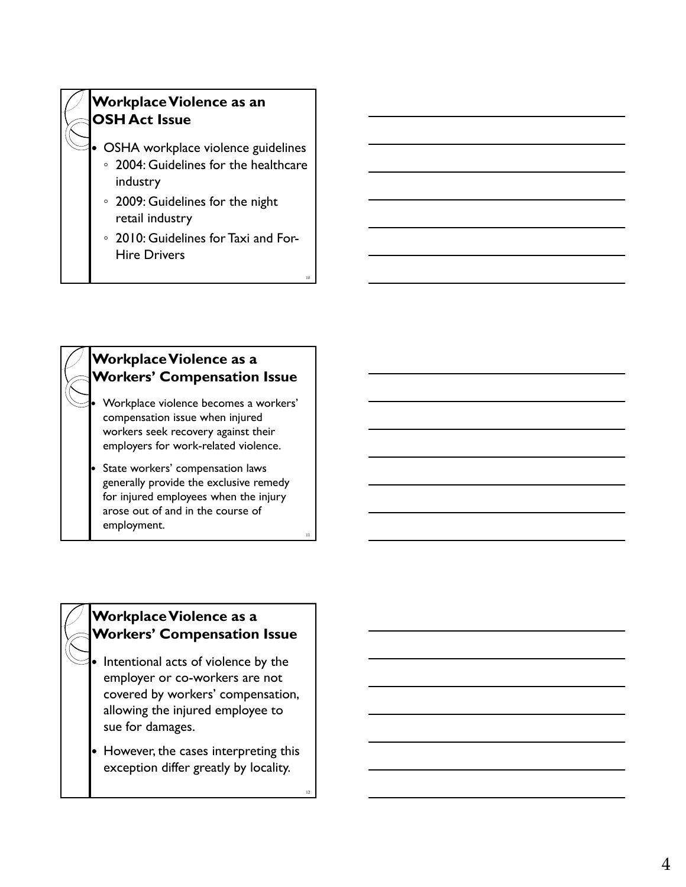

## **Workplace Violence as a Workers' Compensation Issue**

- Workplace violence becomes a workers' compensation issue when injured workers seek recovery against their employers for work-related violence.
- State workers' compensation laws generally provide the exclusive remedy for injured employees when the injury arose out of and in the course of employment.

11

12

#### **Workplace Violence as a Workers' Compensation Issue**

- Intentional acts of violence by the employer or co-workers are not covered by workers' compensation, allowing the injured employee to sue for damages.
- However, the cases interpreting this exception differ greatly by locality.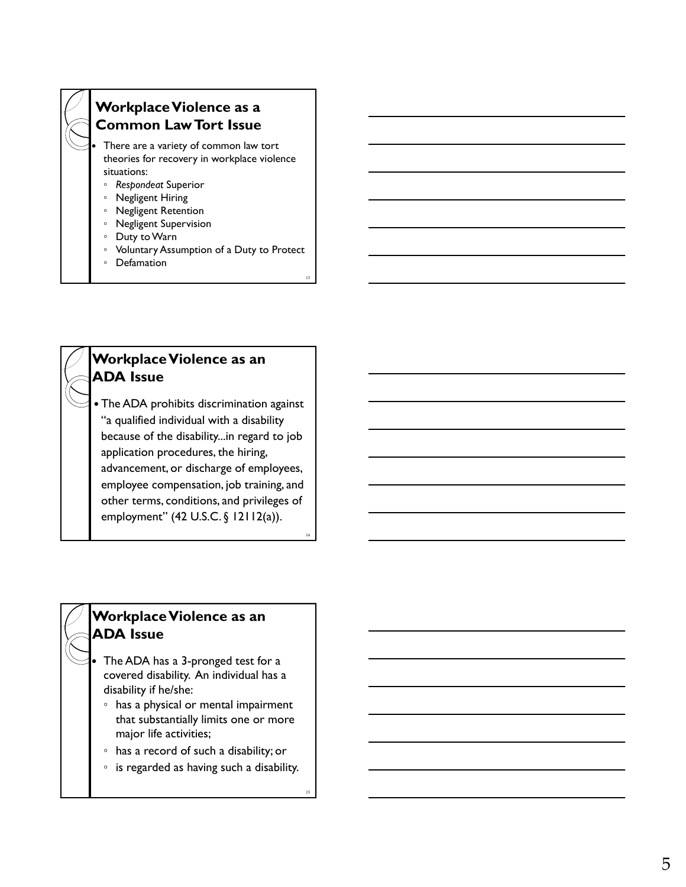## **Workplace Violence as a Common Law Tort Issue**

 There are a variety of common law tort theories for recovery in workplace violence situations:

- *Respondeat* Superior
- Negligent Hiring
- Negligent Retention
- Negligent Supervision
- Duty to Warn
- Voluntary Assumption of a Duty to Protect

13

14

15

◦ Defamation

# **Workplace Violence as an ADA Issue**

 The ADA prohibits discrimination against "a qualified individual with a disability because of the disability...in regard to job application procedures, the hiring, advancement, or discharge of employees, employee compensation, job training, and other terms, conditions, and privileges of employment" (42 U.S.C. § 12112(a)).

#### **Workplace Violence as an ADA Issue**

- The ADA has a 3-pronged test for a covered disability. An individual has a disability if he/she:
- has a physical or mental impairment that substantially limits one or more major life activities;
- has a record of such a disability; or
- is regarded as having such a disability.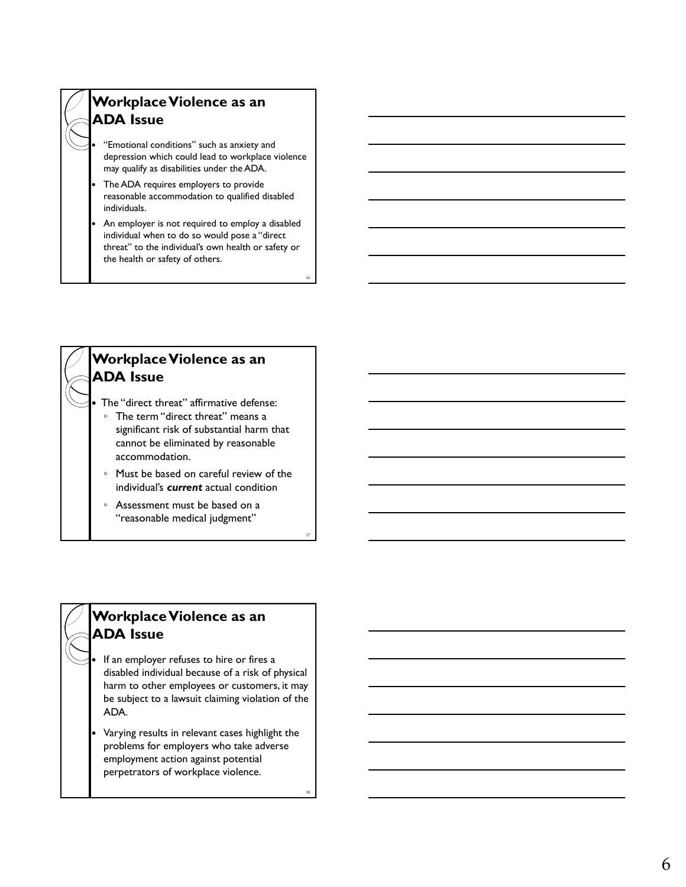

- "Emotional conditions" such as anxiety and depression which could lead to workplace violence may qualify as disabilities under the ADA.
- The ADA requires employers to provide reasonable accommodation to qualified disabled individuals.
- An employer is not required to employ a disabled individual when to do so would pose a "direct threat" to the individual's own health or safety or the health or safety of others.

16

17

18



◦ Assessment must be based on a "reasonable medical judgment"

#### **Workplace Violence as an ADA Issue**

- If an employer refuses to hire or fires a disabled individual because of a risk of physical harm to other employees or customers, it may be subject to a lawsuit claiming violation of the ADA.
- Varying results in relevant cases highlight the problems for employers who take adverse employment action against potential perpetrators of workplace violence.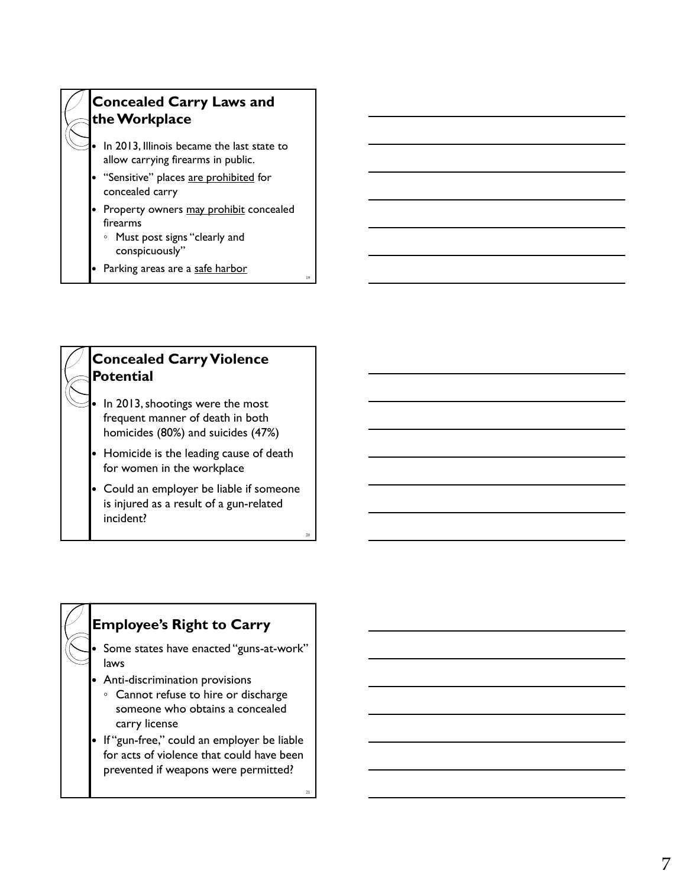

Parking areas are a safe harbor

19

20

21



- frequent manner of death in both homicides (80%) and suicides (47%)
- Homicide is the leading cause of death for women in the workplace
- Could an employer be liable if someone is injured as a result of a gun-related incident?

### **Employee's Right to Carry**

- Some states have enacted "guns-at-work" laws
- Anti-discrimination provisions
	- Cannot refuse to hire or discharge someone who obtains a concealed carry license
- If "gun-free," could an employer be liable for acts of violence that could have been prevented if weapons were permitted?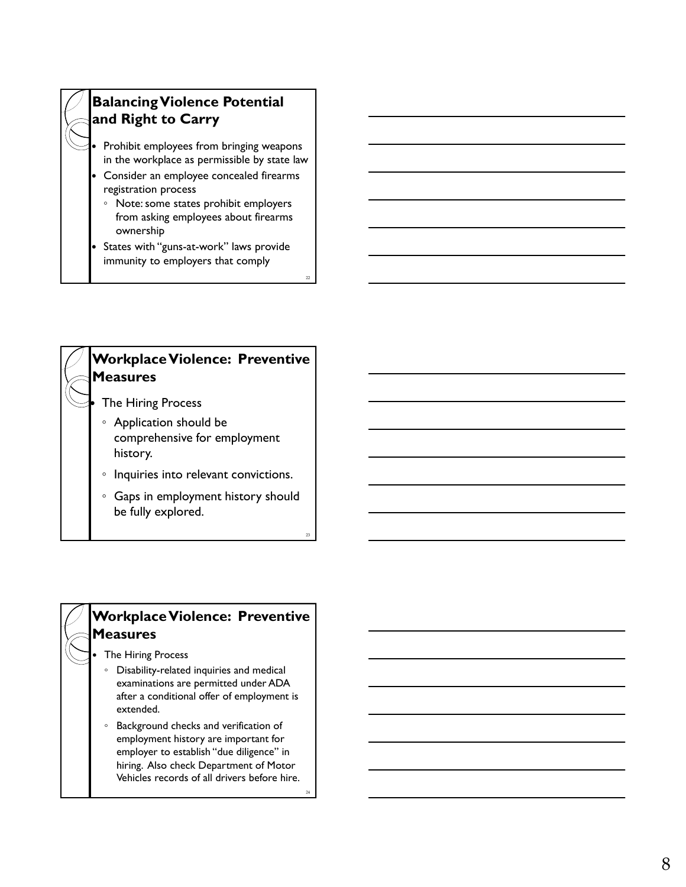## **Balancing Violence Potential and Right to Carry**

- Prohibit employees from bringing weapons in the workplace as permissible by state law
- Consider an employee concealed firearms registration process
	- Note: some states prohibit employers from asking employees about firearms ownership
- States with "guns-at-work" laws provide immunity to employers that comply

22

23

24

## **Workplace Violence: Preventive Measures**

- The Hiring Process
- Application should be comprehensive for employment history.
- Inquiries into relevant convictions.
- Gaps in employment history should be fully explored.

### **Workplace Violence: Preventive Measures**

- The Hiring Process
	- Disability-related inquiries and medical examinations are permitted under ADA after a conditional offer of employment is extended.
	- Background checks and verification of employment history are important for employer to establish "due diligence" in hiring. Also check Department of Motor Vehicles records of all drivers before hire.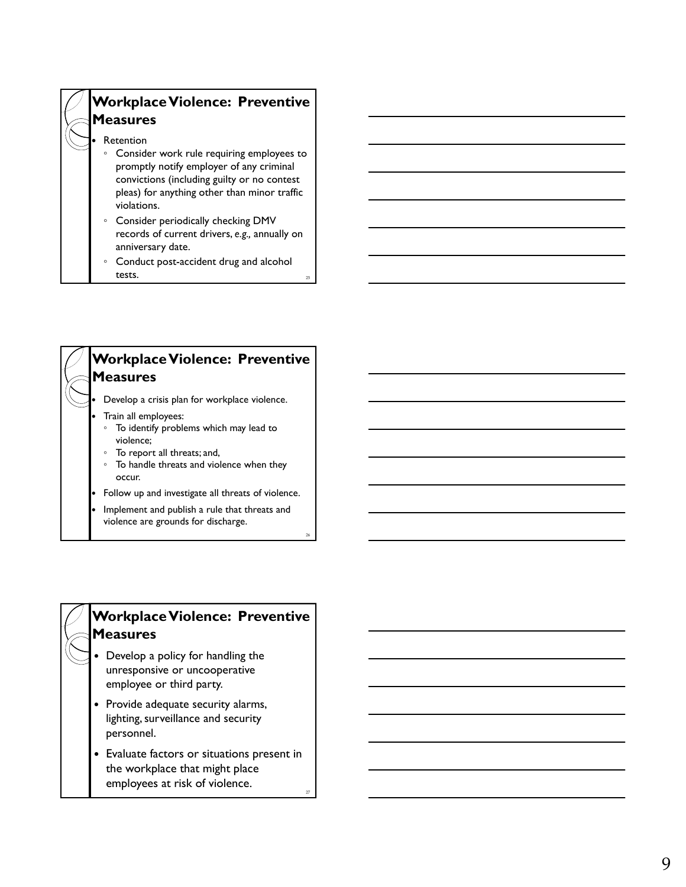## **Workplace Violence: Preventive Measures**

#### Retention

- Consider work rule requiring employees to promptly notify employer of any criminal convictions (including guilty or no contest pleas) for anything other than minor traffic violations.
- Consider periodically checking DMV records of current drivers, *e.g.,* annually on anniversary date.
- Conduct post-accident drug and alcohol tests.



violence are grounds for discharge.

26

#### **Workplace Violence: Preventive Measures**

- Develop a policy for handling the unresponsive or uncooperative employee or third party.
- Provide adequate security alarms, lighting, surveillance and security personnel .
- Evaluate factors or situations present in the workplace that might place employees at risk of violence.